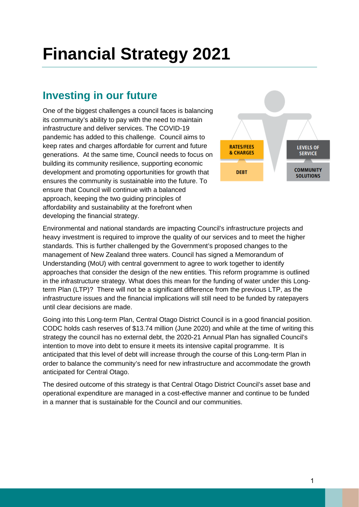# **Financial Strategy 2021**

# **Investing in our future**

One of the biggest challenges a council faces is balancing its community's ability to pay with the need to maintain infrastructure and deliver services. The COVID-19 pandemic has added to this challenge. Council aims to keep rates and charges affordable for current and future generations. At the same time, Council needs to focus on building its community resilience, supporting economic development and promoting opportunities for growth that ensures the community is sustainable into the future. To ensure that Council will continue with a balanced approach, keeping the two guiding principles of affordability and sustainability at the forefront when developing the financial strategy.



Environmental and national standards are impacting Council's infrastructure projects and heavy investment is required to improve the quality of our services and to meet the higher standards. This is further challenged by the Government's proposed changes to the management of New Zealand three waters. Council has signed a Memorandum of Understanding (MoU) with central government to agree to work together to identify approaches that consider the design of the new entities. This reform programme is outlined in the infrastructure strategy. What does this mean for the funding of water under this Longterm Plan (LTP)? There will not be a significant difference from the previous LTP, as the infrastructure issues and the financial implications will still need to be funded by ratepayers until clear decisions are made.

Going into this Long-term Plan, Central Otago District Council is in a good financial position. CODC holds cash reserves of \$13.74 million (June 2020) and while at the time of writing this strategy the council has no external debt, the 2020-21 Annual Plan has signalled Council's intention to move into debt to ensure it meets its intensive capital programme. It is anticipated that this level of debt will increase through the course of this Long-term Plan in order to balance the community's need for new infrastructure and accommodate the growth anticipated for Central Otago.

The desired outcome of this strategy is that Central Otago District Council's asset base and operational expenditure are managed in a cost-effective manner and continue to be funded in a manner that is sustainable for the Council and our communities.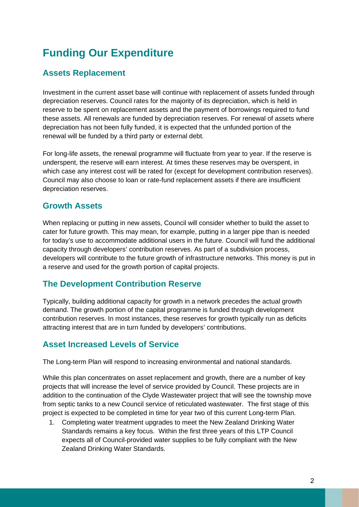# **Funding Our Expenditure**

# **Assets Replacement**

Investment in the current asset base will continue with replacement of assets funded through depreciation reserves. Council rates for the majority of its depreciation, which is held in reserve to be spent on replacement assets and the payment of borrowings required to fund these assets. All renewals are funded by depreciation reserves. For renewal of assets where depreciation has not been fully funded, it is expected that the unfunded portion of the renewal will be funded by a third party or external debt.

For long-life assets, the renewal programme will fluctuate from year to year. If the reserve is underspent, the reserve will earn interest. At times these reserves may be overspent, in which case any interest cost will be rated for (except for development contribution reserves). Council may also choose to loan or rate-fund replacement assets if there are insufficient depreciation reserves.

# **Growth Assets**

When replacing or putting in new assets, Council will consider whether to build the asset to cater for future growth. This may mean, for example, putting in a larger pipe than is needed for today's use to accommodate additional users in the future. Council will fund the additional capacity through developers' contribution reserves. As part of a subdivision process, developers will contribute to the future growth of infrastructure networks. This money is put in a reserve and used for the growth portion of capital projects.

# **The Development Contribution Reserve**

Typically, building additional capacity for growth in a network precedes the actual growth demand. The growth portion of the capital programme is funded through development contribution reserves. In most instances, these reserves for growth typically run as deficits attracting interest that are in turn funded by developers' contributions.

# **Asset Increased Levels of Service**

The Long-term Plan will respond to increasing environmental and national standards.

While this plan concentrates on asset replacement and growth, there are a number of key projects that will increase the level of service provided by Council. These projects are in addition to the continuation of the Clyde Wastewater project that will see the township move from septic tanks to a new Council service of reticulated wastewater. The first stage of this project is expected to be completed in time for year two of this current Long-term Plan.

1. Completing water treatment upgrades to meet the New Zealand Drinking Water Standards remains a key focus. Within the first three years of this LTP Council expects all of Council-provided water supplies to be fully compliant with the New Zealand Drinking Water Standards.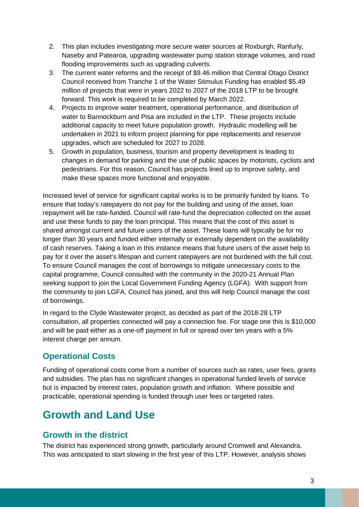- 2. This plan includes investigating more secure water sources at Roxburgh, Ranfurly, Naseby and Patearoa, upgrading wastewater pump station storage volumes, and road flooding improvements such as upgrading culverts.
- 3. The current water reforms and the receipt of \$9.46 million that Central Otago District Council received from Tranche 1 of the Water Stimulus Funding has enabled \$5.49 million of projects that were in years 2022 to 2027 of the 2018 LTP to be brought forward. This work is required to be completed by March 2022.
- 4. Projects to improve water treatment, operational performance, and distribution of water to Bannockburn and Pisa are included in the LTP. These projects include additional capacity to meet future population growth. Hydraulic modelling will be undertaken in 2021 to inform project planning for pipe replacements and reservoir upgrades, which are scheduled for 2027 to 2028.
- 5. Growth in population, business, tourism and property development is leading to changes in demand for parking and the use of public spaces by motorists, cyclists and pedestrians. For this reason, Council has projects lined up to improve safety, and make these spaces more functional and enjoyable.

Increased level of service for significant capital works is to be primarily funded by loans. To ensure that today's ratepayers do not pay for the building and using of the asset, loan repayment will be rate-funded. Council will rate-fund the depreciation collected on the asset and use these funds to pay the loan principal. This means that the cost of this asset is shared amongst current and future users of the asset. These loans will typically be for no longer than 30 years and funded either internally or externally dependent on the availability of cash reserves. Taking a loan in this instance means that future users of the asset help to pay for it over the asset's lifespan and current ratepayers are not burdened with the full cost. To ensure Council manages the cost of borrowings to mitigate unnecessary costs to the capital programme, Council consulted with the community in the 2020-21 Annual Plan seeking support to join the Local Government Funding Agency (LGFA). With support from the community to join LGFA, Council has joined, and this will help Council manage the cost of borrowings.

In regard to the Clyde Wastewater project, as decided as part of the 2018-28 LTP consultation, all properties connected will pay a connection fee. For stage one this is \$10,000 and will be paid either as a one-off payment in full or spread over ten years with a 5% interest charge per annum.

# **Operational Costs**

Funding of operational costs come from a number of sources such as rates, user fees, grants and subsidies. The plan has no significant changes in operational funded levels of service but is impacted by interest rates, population growth and inflation. Where possible and practicable, operational spending is funded through user fees or targeted rates.

# **Growth and Land Use**

# **Growth in the district**

The district has experienced strong growth, particularly around Cromwell and Alexandra. This was anticipated to start slowing in the first year of this LTP. However, analysis shows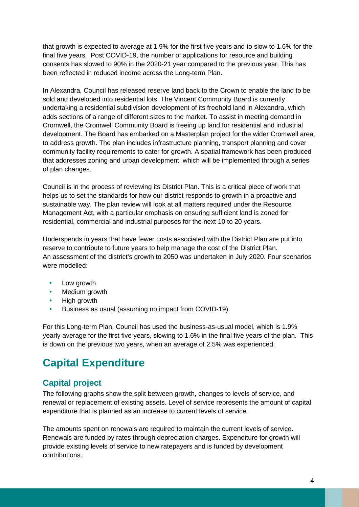that growth is expected to average at 1.9% for the first five years and to slow to 1.6% for the final five years. Post COVID-19, the number of applications for resource and building consents has slowed to 90% in the 2020-21 year compared to the previous year. This has been reflected in reduced income across the Long-term Plan.

In Alexandra, Council has released reserve land back to the Crown to enable the land to be sold and developed into residential lots. The Vincent Community Board is currently undertaking a residential subdivision development of its freehold land in Alexandra, which adds sections of a range of different sizes to the market. To assist in meeting demand in Cromwell, the Cromwell Community Board is freeing up land for residential and industrial development. The Board has embarked on a Masterplan project for the wider Cromwell area, to address growth. The plan includes infrastructure planning, transport planning and cover community facility requirements to cater for growth. A spatial framework has been produced that addresses zoning and urban development, which will be implemented through a series of plan changes.

Council is in the process of reviewing its District Plan. This is a critical piece of work that helps us to set the standards for how our district responds to growth in a proactive and sustainable way. The plan review will look at all matters required under the Resource Management Act, with a particular emphasis on ensuring sufficient land is zoned for residential, commercial and industrial purposes for the next 10 to 20 years.

Underspends in years that have fewer costs associated with the District Plan are put into reserve to contribute to future years to help manage the cost of the District Plan. An assessment of the district's growth to 2050 was undertaken in July 2020. Four scenarios were modelled:

- Low growth
- Medium growth
- High growth
- Business as usual (assuming no impact from COVID-19).

For this Long-term Plan, Council has used the business-as-usual model, which is 1.9% yearly average for the first five years, slowing to 1.6% in the final five years of the plan. This is down on the previous two years, when an average of 2.5% was experienced.

# **Capital Expenditure**

# **Capital project**

The following graphs show the split between growth, changes to levels of service, and renewal or replacement of existing assets. Level of service represents the amount of capital expenditure that is planned as an increase to current levels of service.

The amounts spent on renewals are required to maintain the current levels of service. Renewals are funded by rates through depreciation charges. Expenditure for growth will provide existing levels of service to new ratepayers and is funded by development contributions.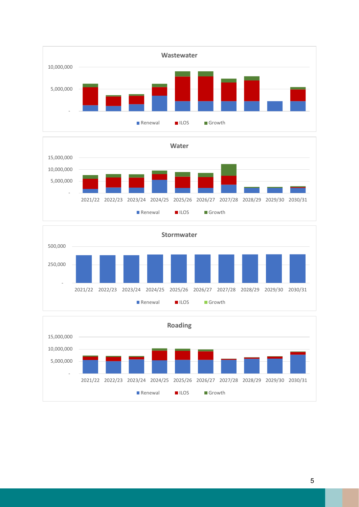





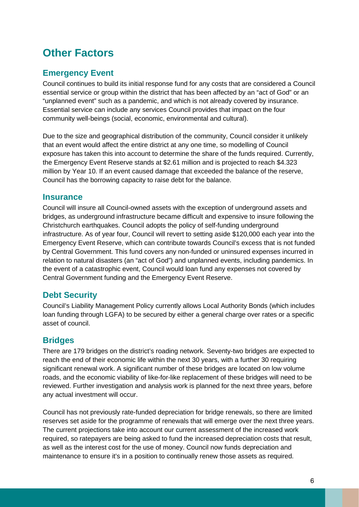# **Other Factors**

# **Emergency Event**

Council continues to build its initial response fund for any costs that are considered a Council essential service or group within the district that has been affected by an "act of God" or an "unplanned event" such as a pandemic, and which is not already covered by insurance. Essential service can include any services Council provides that impact on the four community well-beings (social, economic, environmental and cultural).

Due to the size and geographical distribution of the community, Council consider it unlikely that an event would affect the entire district at any one time, so modelling of Council exposure has taken this into account to determine the share of the funds required. Currently, the Emergency Event Reserve stands at \$2.61 million and is projected to reach \$4.323 million by Year 10. If an event caused damage that exceeded the balance of the reserve, Council has the borrowing capacity to raise debt for the balance.

#### **Insurance**

Council will insure all Council-owned assets with the exception of underground assets and bridges, as underground infrastructure became difficult and expensive to insure following the Christchurch earthquakes. Council adopts the policy of self-funding underground infrastructure. As of year four, Council will revert to setting aside \$120,000 each year into the Emergency Event Reserve, which can contribute towards Council's excess that is not funded by Central Government. This fund covers any non-funded or uninsured expenses incurred in relation to natural disasters (an "act of God") and unplanned events, including pandemics. In the event of a catastrophic event, Council would loan fund any expenses not covered by Central Government funding and the Emergency Event Reserve.

# **Debt Security**

Council's Liability Management Policy currently allows Local Authority Bonds (which includes loan funding through LGFA) to be secured by either a general charge over rates or a specific asset of council.

# **Bridges**

There are 179 bridges on the district's roading network. Seventy-two bridges are expected to reach the end of their economic life within the next 30 years, with a further 30 requiring significant renewal work. A significant number of these bridges are located on low volume roads, and the economic viability of like-for-like replacement of these bridges will need to be reviewed. Further investigation and analysis work is planned for the next three years, before any actual investment will occur.

Council has not previously rate-funded depreciation for bridge renewals, so there are limited reserves set aside for the programme of renewals that will emerge over the next three years. The current projections take into account our current assessment of the increased work required, so ratepayers are being asked to fund the increased depreciation costs that result, as well as the interest cost for the use of money. Council now funds depreciation and maintenance to ensure it's in a position to continually renew those assets as required.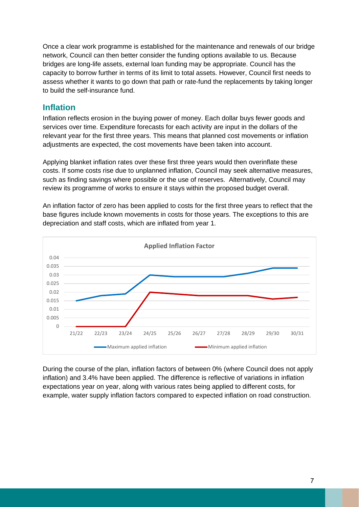Once a clear work programme is established for the maintenance and renewals of our bridge network, Council can then better consider the funding options available to us. Because bridges are long-life assets, external loan funding may be appropriate. Council has the capacity to borrow further in terms of its limit to total assets. However, Council first needs to assess whether it wants to go down that path or rate-fund the replacements by taking longer to build the self-insurance fund.

#### **Inflation**

Inflation reflects erosion in the buying power of money. Each dollar buys fewer goods and services over time. Expenditure forecasts for each activity are input in the dollars of the relevant year for the first three years. This means that planned cost movements or inflation adjustments are expected, the cost movements have been taken into account.

Applying blanket inflation rates over these first three years would then overinflate these costs. If some costs rise due to unplanned inflation, Council may seek alternative measures, such as finding savings where possible or the use of reserves. Alternatively, Council may review its programme of works to ensure it stays within the proposed budget overall.

An inflation factor of zero has been applied to costs for the first three years to reflect that the base figures include known movements in costs for those years. The exceptions to this are depreciation and staff costs, which are inflated from year 1.



During the course of the plan, inflation factors of between 0% (where Council does not apply inflation) and 3.4% have been applied. The difference is reflective of variations in inflation expectations year on year, along with various rates being applied to different costs, for example, water supply inflation factors compared to expected inflation on road construction.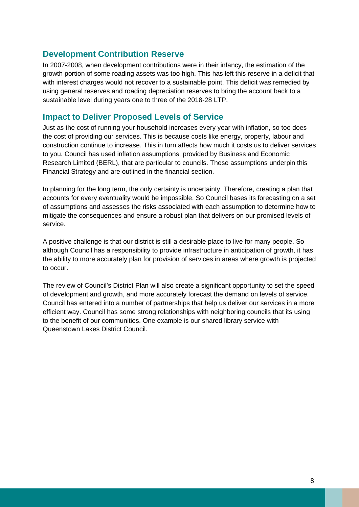#### **Development Contribution Reserve**

In 2007-2008, when development contributions were in their infancy, the estimation of the growth portion of some roading assets was too high. This has left this reserve in a deficit that with interest charges would not recover to a sustainable point. This deficit was remedied by using general reserves and roading depreciation reserves to bring the account back to a sustainable level during years one to three of the 2018-28 LTP.

#### **Impact to Deliver Proposed Levels of Service**

Just as the cost of running your household increases every year with inflation, so too does the cost of providing our services. This is because costs like energy, property, labour and construction continue to increase. This in turn affects how much it costs us to deliver services to you. Council has used inflation assumptions, provided by Business and Economic Research Limited (BERL), that are particular to councils. These assumptions underpin this Financial Strategy and are outlined in the financial section.

In planning for the long term, the only certainty is uncertainty. Therefore, creating a plan that accounts for every eventuality would be impossible. So Council bases its forecasting on a set of assumptions and assesses the risks associated with each assumption to determine how to mitigate the consequences and ensure a robust plan that delivers on our promised levels of service.

A positive challenge is that our district is still a desirable place to live for many people. So although Council has a responsibility to provide infrastructure in anticipation of growth, it has the ability to more accurately plan for provision of services in areas where growth is projected to occur.

The review of Council's District Plan will also create a significant opportunity to set the speed of development and growth, and more accurately forecast the demand on levels of service. Council has entered into a number of partnerships that help us deliver our services in a more efficient way. Council has some strong relationships with neighboring councils that its using to the benefit of our communities. One example is our shared library service with Queenstown Lakes District Council.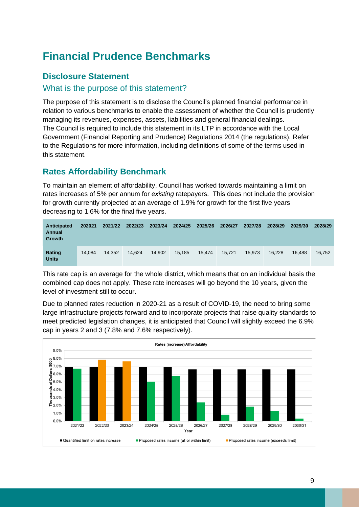# **Financial Prudence Benchmarks**

### **Disclosure Statement**

#### What is the purpose of this statement?

The purpose of this statement is to disclose the Council's planned financial performance in relation to various benchmarks to enable the assessment of whether the Council is prudently managing its revenues, expenses, assets, liabilities and general financial dealings. The Council is required to include this statement in its LTP in accordance with the Local Government (Financial Reporting and Prudence) Regulations 2014 (the regulations). Refer to the Regulations for more information, including definitions of some of the terms used in this statement.

# **Rates Affordability Benchmark**

To maintain an element of affordability, Council has worked towards maintaining a limit on rates increases of 5% per annum for *existing* ratepayers. This does not include the provision for growth currently projected at an average of 1.9% for growth for the first five years decreasing to 1.6% for the final five years.

| Anticipated<br>Annual<br>Growth | 202021 | 2021/22 | 2022/23 | 2023/24 | 2024/25 | 2025/26 | 2026/27 | 2027/28 | 2028/29 | 2029/30 | 2028/29 |
|---------------------------------|--------|---------|---------|---------|---------|---------|---------|---------|---------|---------|---------|
| Rating<br><b>Units</b>          | 14.084 | 14.352  | 14.624  | 14.902  | 15.185  | 15.474  | 15.721  | 15.973  | 16.228  | 16.488  | 16.752  |

This rate cap is an average for the whole district, which means that on an individual basis the combined cap does not apply. These rate increases will go beyond the 10 years, given the level of investment still to occur.

Due to planned rates reduction in 2020-21 as a result of COVID-19, the need to bring some large infrastructure projects forward and to incorporate projects that raise quality standards to meet predicted legislation changes, it is anticipated that Council will slightly exceed the 6.9% cap in years 2 and 3 (7.8% and 7.6% respectively).

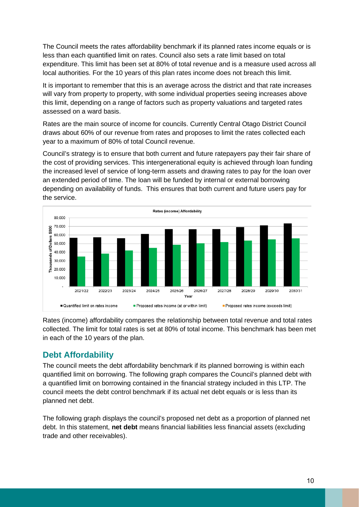The Council meets the rates affordability benchmark if its planned rates income equals or is less than each quantified limit on rates. Council also sets a rate limit based on total expenditure. This limit has been set at 80% of total revenue and is a measure used across all local authorities. For the 10 years of this plan rates income does not breach this limit.

It is important to remember that this is an average across the district and that rate increases will vary from property to property, with some individual properties seeing increases above this limit, depending on a range of factors such as property valuations and targeted rates assessed on a ward basis.

Rates are the main source of income for councils. Currently Central Otago District Council draws about 60% of our revenue from rates and proposes to limit the rates collected each year to a maximum of 80% of total Council revenue.

Council's strategy is to ensure that both current and future ratepayers pay their fair share of the cost of providing services. This intergenerational equity is achieved through loan funding the increased level of service of long-term assets and drawing rates to pay for the loan over an extended period of time. The loan will be funded by internal or external borrowing depending on availability of funds. This ensures that both current and future users pay for the service.



Rates (income) affordability compares the relationship between total revenue and total rates collected. The limit for total rates is set at 80% of total income. This benchmark has been met in each of the 10 years of the plan.

#### **Debt Affordability**

The council meets the debt affordability benchmark if its planned borrowing is within each quantified limit on borrowing. The following graph compares the Council's planned debt with a quantified limit on borrowing contained in the financial strategy included in this LTP. The council meets the debt control benchmark if its actual net debt equals or is less than its planned net debt.

The following graph displays the council's proposed net debt as a proportion of planned net debt. In this statement, **net debt** means financial liabilities less financial assets (excluding trade and other receivables).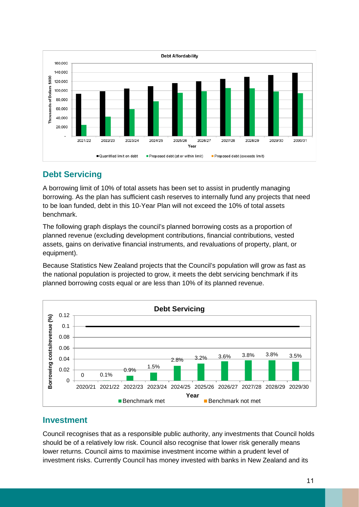

# **Debt Servicing**

A borrowing limit of 10% of total assets has been set to assist in prudently managing borrowing. As the plan has sufficient cash reserves to internally fund any projects that need to be loan funded, debt in this 10-Year Plan will not exceed the 10% of total assets benchmark.

The following graph displays the council's planned borrowing costs as a proportion of planned revenue (excluding development contributions, financial contributions, vested assets, gains on derivative financial instruments, and revaluations of property, plant, or equipment).

Because Statistics New Zealand projects that the Council's population will grow as fast as the national population is projected to grow, it meets the debt servicing benchmark if its planned borrowing costs equal or are less than 10% of its planned revenue.



# **Investment**

Council recognises that as a responsible public authority, any investments that Council holds should be of a relatively low risk. Council also recognise that lower risk generally means lower returns. Council aims to maximise investment income within a prudent level of investment risks. Currently Council has money invested with banks in New Zealand and its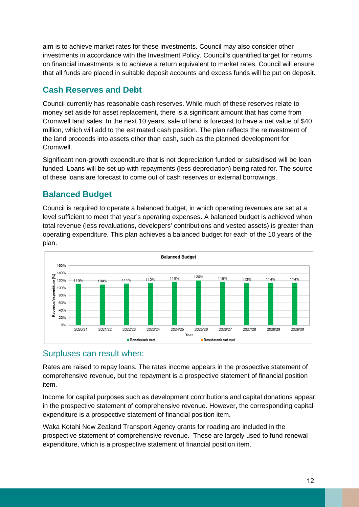aim is to achieve market rates for these investments. Council may also consider other investments in accordance with the Investment Policy. Council's quantified target for returns on financial investments is to achieve a return equivalent to market rates. Council will ensure that all funds are placed in suitable deposit accounts and excess funds will be put on deposit.

# **Cash Reserves and Debt**

Council currently has reasonable cash reserves. While much of these reserves relate to money set aside for asset replacement, there is a significant amount that has come from Cromwell land sales. In the next 10 years, sale of land is forecast to have a net value of \$40 million, which will add to the estimated cash position. The plan reflects the reinvestment of the land proceeds into assets other than cash, such as the planned development for Cromwell.

Significant non-growth expenditure that is not depreciation funded or subsidised will be loan funded. Loans will be set up with repayments (less depreciation) being rated for. The source of these loans are forecast to come out of cash reserves or external borrowings.

# **Balanced Budget**

Council is required to operate a balanced budget, in which operating revenues are set at a level sufficient to meet that year's operating expenses. A balanced budget is achieved when total revenue (less revaluations, developers' contributions and vested assets) is greater than operating expenditure. This plan achieves a balanced budget for each of the 10 years of the plan.

![](_page_11_Figure_6.jpeg)

# Surpluses can result when:

Rates are raised to repay loans. The rates income appears in the prospective statement of comprehensive revenue, but the repayment is a prospective statement of financial position item.

Income for capital purposes such as development contributions and capital donations appear in the prospective statement of comprehensive revenue. However, the corresponding capital expenditure is a prospective statement of financial position item.

Waka Kotahi New Zealand Transport Agency grants for roading are included in the prospective statement of comprehensive revenue. These are largely used to fund renewal expenditure, which is a prospective statement of financial position item.